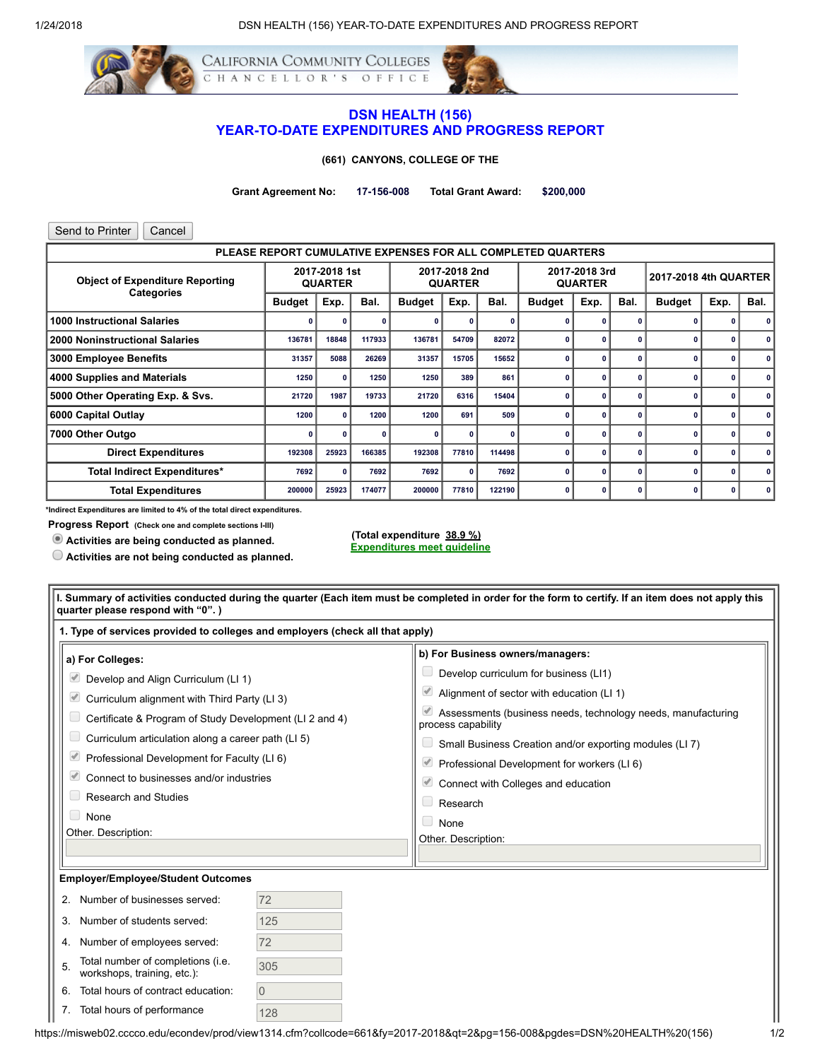

## DSN HEALTH (156) YEAR-TO-DATE EXPENDITURES AND PROGRESS REPORT

(661) CANYONS, COLLEGE OF THE

Grant Agreement No: 17-156-008 Total Grant Award: \$200,000

| Send to Printer<br>Cancel                                   |                                 |       |                                 |               |              |                                 |                                                              |      |                       |               |      |      |
|-------------------------------------------------------------|---------------------------------|-------|---------------------------------|---------------|--------------|---------------------------------|--------------------------------------------------------------|------|-----------------------|---------------|------|------|
|                                                             |                                 |       |                                 |               |              |                                 | PLEASE REPORT CUMULATIVE EXPENSES FOR ALL COMPLETED QUARTERS |      |                       |               |      |      |
| <b>Object of Expenditure Reporting</b><br><b>Categories</b> | 2017-2018 1st<br><b>QUARTER</b> |       | 2017-2018 2nd<br><b>QUARTER</b> |               |              | 2017-2018 3rd<br><b>QUARTER</b> |                                                              |      | 2017-2018 4th QUARTER |               |      |      |
|                                                             | <b>Budget</b>                   | Exp.  | Bal.                            | <b>Budget</b> | Exp.         | Bal.                            | <b>Budget</b>                                                | Exp. | Bal.                  | <b>Budget</b> | Exp. | Bal. |
| <b>1000 Instructional Salaries</b>                          | O                               | O     |                                 |               |              |                                 |                                                              |      |                       |               | 0    |      |
| <b>2000 Noninstructional Salaries</b>                       | 136781                          | 18848 | 117933                          | 136781        | 54709        | 82072                           |                                                              |      |                       |               | 0    | 0    |
| 3000 Employee Benefits                                      | 31357                           | 5088  | 26269                           | 31357         | 15705        | 15652                           |                                                              | O    | O                     |               | 0    | O    |
| 4000 Supplies and Materials                                 | 1250                            | O     | 1250                            | 1250          | 389          | 861                             |                                                              |      |                       |               | 0    | 0    |
| 5000 Other Operating Exp. & Svs.                            | 21720                           | 1987  | 19733                           | 21720         | 6316         | 15404                           |                                                              |      | O                     |               | 0    | 0    |
| 6000 Capital Outlay                                         | 1200                            | 0     | 1200                            | 1200          | 691          | 509                             |                                                              |      |                       | n             | 0    | 0    |
| 7000 Other Outgo                                            | n                               | O     |                                 | 0             | n            |                                 | n                                                            |      | $\Omega$              | O             | 0    | 0    |
| <b>Direct Expenditures</b>                                  | 192308                          | 25923 | 166385                          | 192308        | 77810        | 114498                          | n                                                            | o    | 0                     |               | 0    | 0    |
| <b>Total Indirect Expenditures*</b>                         | 7692                            | 0     | 7692                            | 7692          | $\mathbf{0}$ | 7692                            | O                                                            | O    | $\mathbf{0}$          | O             | 0    | 0    |
| <b>Total Expenditures</b>                                   | 200000                          | 25923 | 174077                          | 200000        | 77810        | 122190                          | n                                                            | O    | O                     | O             | 0    | 0    |

\*Indirect Expenditures are limited to 4% of the total direct expenditures.

Progress Report (Check one and complete sections I-III)

Activities are being conducted as planned.

Activities are not being conducted as planned.

(Total expenditure 38.9 %) Expenditures meet guideline

| 1. Type of services provided to colleges and employers (check all that apply)                                                                                                                                                                                                                                                                                                    |          |                                                                                                                                                                                                                                                                                                                                                                                                                       |
|----------------------------------------------------------------------------------------------------------------------------------------------------------------------------------------------------------------------------------------------------------------------------------------------------------------------------------------------------------------------------------|----------|-----------------------------------------------------------------------------------------------------------------------------------------------------------------------------------------------------------------------------------------------------------------------------------------------------------------------------------------------------------------------------------------------------------------------|
| a) For Colleges:<br>Develop and Align Curriculum (LI 1)<br>Curriculum alignment with Third Party (LI 3)<br>Certificate & Program of Study Development (LI 2 and 4)<br>Curriculum articulation along a career path (LI 5)<br>Professional Development for Faculty (LI 6)<br>Connect to businesses and/or industries<br><b>Research and Studies</b><br>None<br>Other. Description: |          | b) For Business owners/managers:<br>Develop curriculum for business (LI1)<br>Alignment of sector with education (LI 1)<br>Assessments (business needs, technology needs, manufacturing<br>process capability<br>Small Business Creation and/or exporting modules (LI7)<br>Professional Development for workers (LI 6)<br>Connect with Colleges and education<br>$\Box$ Research<br>$\Box$ None<br>Other. Description: |
| <b>Employer/Employee/Student Outcomes</b>                                                                                                                                                                                                                                                                                                                                        |          |                                                                                                                                                                                                                                                                                                                                                                                                                       |
| 2. Number of businesses served:                                                                                                                                                                                                                                                                                                                                                  | 72       |                                                                                                                                                                                                                                                                                                                                                                                                                       |
| 3. Number of students served:                                                                                                                                                                                                                                                                                                                                                    | 125      |                                                                                                                                                                                                                                                                                                                                                                                                                       |
| 4. Number of employees served:                                                                                                                                                                                                                                                                                                                                                   | 72       |                                                                                                                                                                                                                                                                                                                                                                                                                       |
| Total number of completions (i.e.<br>workshops, training, etc.):                                                                                                                                                                                                                                                                                                                 | 305      |                                                                                                                                                                                                                                                                                                                                                                                                                       |
| Total hours of contract education:                                                                                                                                                                                                                                                                                                                                               | $\Omega$ |                                                                                                                                                                                                                                                                                                                                                                                                                       |
|                                                                                                                                                                                                                                                                                                                                                                                  |          |                                                                                                                                                                                                                                                                                                                                                                                                                       |